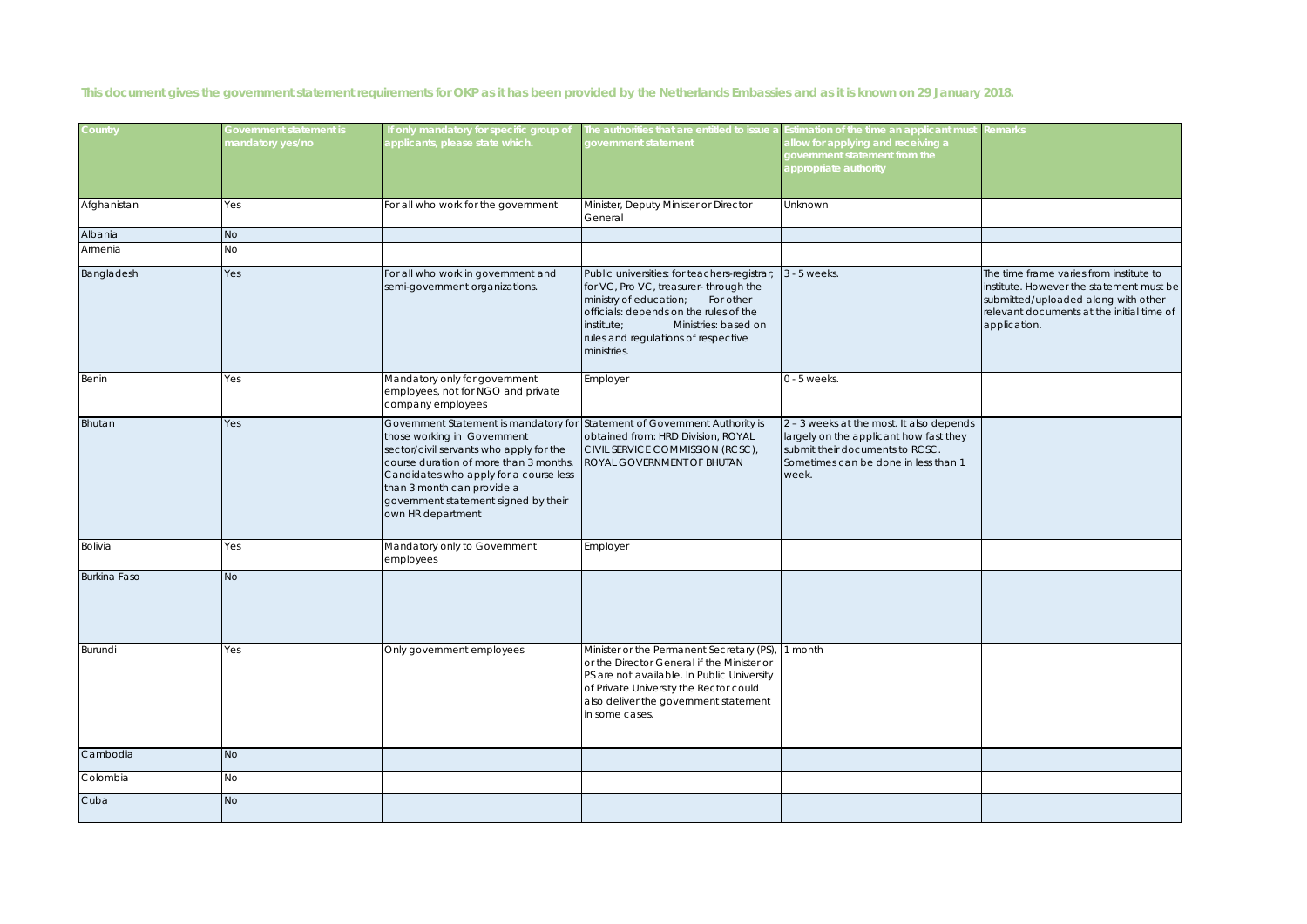**This document gives the government statement requirements for OKP as it has been provided by the Netherlands Embassies and as it is known on 29 January 2018.** 

| Country             | Government statement is<br>mandatory yes/no | If only mandatory for specific group of<br>applicants, please state which.                                                                                                                                                                                                                     | The authorities that are entitled to issue a<br>government statement                                                                                                                                                                                                | Estimation of the time an applicant must<br>allow for applying and receiving a<br>government statement from the<br>appropriate authority                               | Remarks                                                                                                                                                                                 |
|---------------------|---------------------------------------------|------------------------------------------------------------------------------------------------------------------------------------------------------------------------------------------------------------------------------------------------------------------------------------------------|---------------------------------------------------------------------------------------------------------------------------------------------------------------------------------------------------------------------------------------------------------------------|------------------------------------------------------------------------------------------------------------------------------------------------------------------------|-----------------------------------------------------------------------------------------------------------------------------------------------------------------------------------------|
| Afghanistan         | Yes                                         | For all who work for the government                                                                                                                                                                                                                                                            | Minister, Deputy Minister or Director<br>General                                                                                                                                                                                                                    | Unknown                                                                                                                                                                |                                                                                                                                                                                         |
| Albania             | <b>No</b>                                   |                                                                                                                                                                                                                                                                                                |                                                                                                                                                                                                                                                                     |                                                                                                                                                                        |                                                                                                                                                                                         |
| Armenia             | No                                          |                                                                                                                                                                                                                                                                                                |                                                                                                                                                                                                                                                                     |                                                                                                                                                                        |                                                                                                                                                                                         |
| Bangladesh          | Yes                                         | For all who work in government and<br>semi-government organizations.                                                                                                                                                                                                                           | Public universities: for teachers-registrar;<br>for VC, Pro VC, treasurer- through the<br>ministry of education;<br>For other<br>officials: depends on the rules of the<br>institute;<br>Ministries: based on<br>rules and regulations of respective<br>ministries. | 3 - 5 weeks.                                                                                                                                                           | The time frame varies from institute to<br>institute. However the statement must be<br>submitted/uploaded along with other<br>relevant documents at the initial time of<br>application. |
| Benin               | Yes                                         | Mandatory only for government<br>employees, not for NGO and private<br>company employees                                                                                                                                                                                                       | Employer                                                                                                                                                                                                                                                            | $0 - 5$ weeks.                                                                                                                                                         |                                                                                                                                                                                         |
| Bhutan              | Yes                                         | Government Statement is mandatory for<br>those working in Government<br>sector/civil servants who apply for the<br>course duration of more than 3 months.<br>Candidates who apply for a course less<br>than 3 month can provide a<br>government statement signed by their<br>own HR department | Statement of Government Authority is<br>obtained from: HRD Division, ROYAL<br>CIVIL SERVICE COMMISSION (RCSC),<br>ROYAL GOVERNMENT OF BHUTAN                                                                                                                        | 2 - 3 weeks at the most. It also depends<br>largely on the applicant how fast they<br>submit their documents to RCSC.<br>Sometimes can be done in less than 1<br>week. |                                                                                                                                                                                         |
| Bolivia             | Yes                                         | Mandatory only to Government<br>employees                                                                                                                                                                                                                                                      | Employer                                                                                                                                                                                                                                                            |                                                                                                                                                                        |                                                                                                                                                                                         |
| <b>Burkina Faso</b> | <b>No</b>                                   |                                                                                                                                                                                                                                                                                                |                                                                                                                                                                                                                                                                     |                                                                                                                                                                        |                                                                                                                                                                                         |
| Burundi             | Yes                                         | Only government employees                                                                                                                                                                                                                                                                      | Minister or the Permanent Secretary (PS),<br>or the Director General if the Minister or<br>PS are not available. In Public University<br>of Private University the Rector could<br>also deliver the government statement<br>in some cases.                          | 1 month                                                                                                                                                                |                                                                                                                                                                                         |
| Cambodia            | <b>No</b>                                   |                                                                                                                                                                                                                                                                                                |                                                                                                                                                                                                                                                                     |                                                                                                                                                                        |                                                                                                                                                                                         |
| Colombia            | No                                          |                                                                                                                                                                                                                                                                                                |                                                                                                                                                                                                                                                                     |                                                                                                                                                                        |                                                                                                                                                                                         |
| Cuba                | <b>No</b>                                   |                                                                                                                                                                                                                                                                                                |                                                                                                                                                                                                                                                                     |                                                                                                                                                                        |                                                                                                                                                                                         |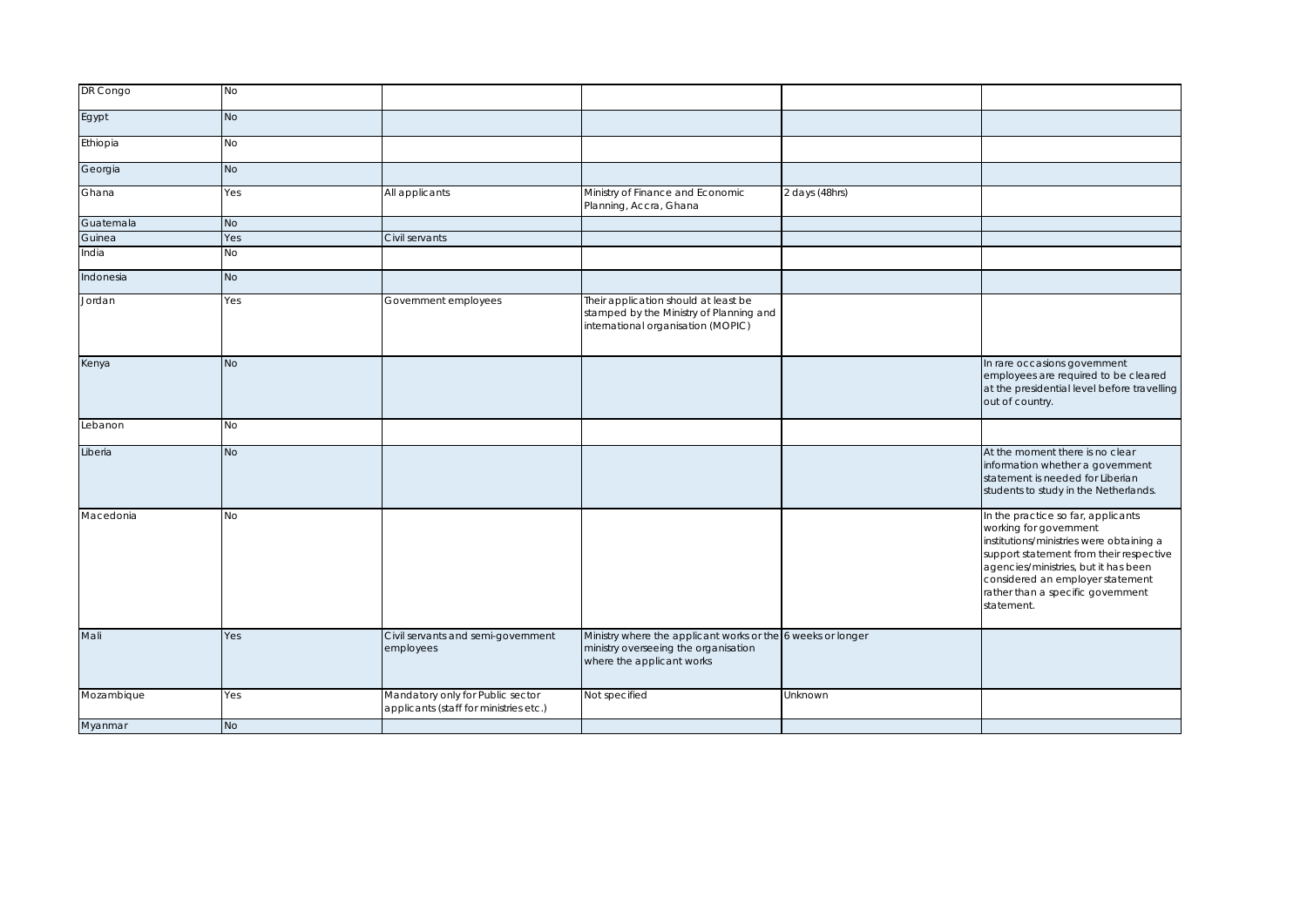| DR Congo   | <b>No</b> |                                                                            |                                                                                                                                  |                |                                                                                                                                                                                                                                                                                    |
|------------|-----------|----------------------------------------------------------------------------|----------------------------------------------------------------------------------------------------------------------------------|----------------|------------------------------------------------------------------------------------------------------------------------------------------------------------------------------------------------------------------------------------------------------------------------------------|
| Egypt      | <b>No</b> |                                                                            |                                                                                                                                  |                |                                                                                                                                                                                                                                                                                    |
| Ethiopia   | No        |                                                                            |                                                                                                                                  |                |                                                                                                                                                                                                                                                                                    |
| Georgia    | <b>No</b> |                                                                            |                                                                                                                                  |                |                                                                                                                                                                                                                                                                                    |
| Ghana      | Yes       | All applicants                                                             | Ministry of Finance and Economic<br>Planning, Accra, Ghana                                                                       | 2 days (48hrs) |                                                                                                                                                                                                                                                                                    |
| Guatemala  | <b>No</b> |                                                                            |                                                                                                                                  |                |                                                                                                                                                                                                                                                                                    |
| Guinea     | Yes       | Civil servants                                                             |                                                                                                                                  |                |                                                                                                                                                                                                                                                                                    |
| India      | No        |                                                                            |                                                                                                                                  |                |                                                                                                                                                                                                                                                                                    |
| Indonesia  | <b>No</b> |                                                                            |                                                                                                                                  |                |                                                                                                                                                                                                                                                                                    |
| Jordan     | Yes       | Government employees                                                       | Their application should at least be<br>stamped by the Ministry of Planning and<br>international organisation (MOPIC)            |                |                                                                                                                                                                                                                                                                                    |
| Kenya      | <b>No</b> |                                                                            |                                                                                                                                  |                | In rare occasions government<br>employees are required to be cleared<br>at the presidential level before travelling<br>out of country.                                                                                                                                             |
| Lebanon    | <b>No</b> |                                                                            |                                                                                                                                  |                |                                                                                                                                                                                                                                                                                    |
| Liberia    | <b>No</b> |                                                                            |                                                                                                                                  |                | At the moment there is no clear<br>information whether a government<br>statement is needed for Liberian<br>students to study in the Netherlands.                                                                                                                                   |
| Macedonia  | <b>No</b> |                                                                            |                                                                                                                                  |                | In the practice so far, applicants<br>working for government<br>institutions/ministries were obtaining a<br>support statement from their respective<br>agencies/ministries, but it has been<br>considered an employer statement<br>rather than a specific government<br>statement. |
| Mali       | Yes       | Civil servants and semi-government<br>employees                            | Ministry where the applicant works or the 6 weeks or longer<br>ministry overseeing the organisation<br>where the applicant works |                |                                                                                                                                                                                                                                                                                    |
| Mozambique | Yes       | Mandatory only for Public sector<br>applicants (staff for ministries etc.) | Not specified                                                                                                                    | Unknown        |                                                                                                                                                                                                                                                                                    |
| Myanmar    | <b>No</b> |                                                                            |                                                                                                                                  |                |                                                                                                                                                                                                                                                                                    |
|            |           |                                                                            |                                                                                                                                  |                |                                                                                                                                                                                                                                                                                    |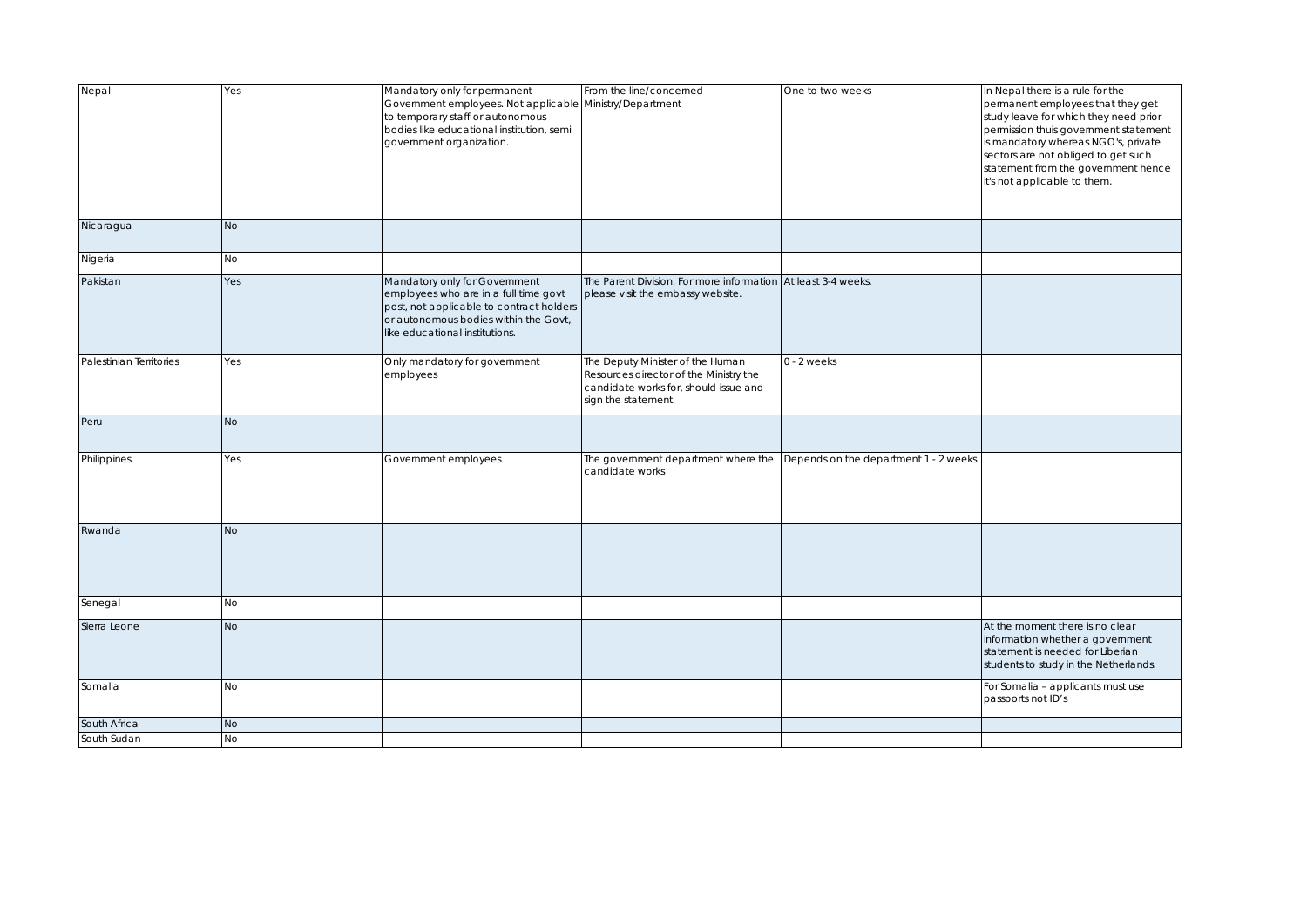| Nepal                   | Yes       | Mandatory only for permanent<br>Government employees. Not applicable<br>to temporary staff or autonomous<br>bodies like educational institution, semi<br>government organization.             | From the line/concerned<br>Ministry/Department                                                                                             | One to two weeks                      | In Nepal there is a rule for the<br>permanent employees that they get<br>study leave for which they need prior<br>permission thuis government statement<br>is mandatory whereas NGO's, private<br>sectors are not obliged to get such<br>statement from the government hence<br>it's not applicable to them. |
|-------------------------|-----------|-----------------------------------------------------------------------------------------------------------------------------------------------------------------------------------------------|--------------------------------------------------------------------------------------------------------------------------------------------|---------------------------------------|--------------------------------------------------------------------------------------------------------------------------------------------------------------------------------------------------------------------------------------------------------------------------------------------------------------|
| Nicaragua               | <b>No</b> |                                                                                                                                                                                               |                                                                                                                                            |                                       |                                                                                                                                                                                                                                                                                                              |
| Nigeria                 | No        |                                                                                                                                                                                               |                                                                                                                                            |                                       |                                                                                                                                                                                                                                                                                                              |
| Pakistan                | Yes       | Mandatory only for Government<br>employees who are in a full time govt<br>post, not applicable to contract holders<br>or autonomous bodies within the Govt,<br>like educational institutions. | The Parent Division. For more information At least 3-4 weeks.<br>please visit the embassy website.                                         |                                       |                                                                                                                                                                                                                                                                                                              |
| Palestinian Territories | Yes       | Only mandatory for government<br>employees                                                                                                                                                    | The Deputy Minister of the Human<br>Resources director of the Ministry the<br>candidate works for, should issue and<br>sign the statement. | $0 - 2$ weeks                         |                                                                                                                                                                                                                                                                                                              |
| Peru                    | <b>No</b> |                                                                                                                                                                                               |                                                                                                                                            |                                       |                                                                                                                                                                                                                                                                                                              |
| Philippines             | Yes       | Government employees                                                                                                                                                                          | The government department where the<br>candidate works                                                                                     | Depends on the department 1 - 2 weeks |                                                                                                                                                                                                                                                                                                              |
| Rwanda                  | <b>No</b> |                                                                                                                                                                                               |                                                                                                                                            |                                       |                                                                                                                                                                                                                                                                                                              |
| Senegal                 | No        |                                                                                                                                                                                               |                                                                                                                                            |                                       |                                                                                                                                                                                                                                                                                                              |
| Sierra Leone            | <b>No</b> |                                                                                                                                                                                               |                                                                                                                                            |                                       | At the moment there is no clear<br>information whether a government<br>statement is needed for Liberian<br>students to study in the Netherlands.                                                                                                                                                             |
| Somalia                 | No        |                                                                                                                                                                                               |                                                                                                                                            |                                       | For Somalia - applicants must use<br>passports not ID's                                                                                                                                                                                                                                                      |
| South Africa            | No        |                                                                                                                                                                                               |                                                                                                                                            |                                       |                                                                                                                                                                                                                                                                                                              |
| South Sudan             | <b>No</b> |                                                                                                                                                                                               |                                                                                                                                            |                                       |                                                                                                                                                                                                                                                                                                              |